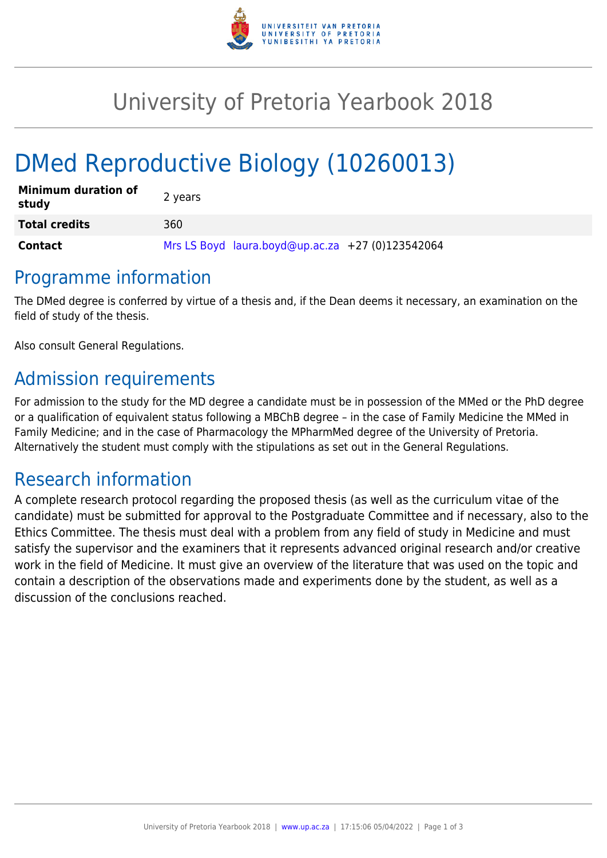

## University of Pretoria Yearbook 2018

# DMed Reproductive Biology (10260013)

| <b>Minimum duration of</b><br>study | 2 years                                          |
|-------------------------------------|--------------------------------------------------|
| <b>Total credits</b>                | 360                                              |
| <b>Contact</b>                      | Mrs LS Boyd laura.boyd@up.ac.za +27 (0)123542064 |

#### Programme information

The DMed degree is conferred by virtue of a thesis and, if the Dean deems it necessary, an examination on the field of study of the thesis.

Also consult General Regulations.

## Admission requirements

For admission to the study for the MD degree a candidate must be in possession of the MMed or the PhD degree or a qualification of equivalent status following a MBChB degree – in the case of Family Medicine the MMed in Family Medicine; and in the case of Pharmacology the MPharmMed degree of the University of Pretoria. Alternatively the student must comply with the stipulations as set out in the General Regulations.

#### Research information

A complete research protocol regarding the proposed thesis (as well as the curriculum vitae of the candidate) must be submitted for approval to the Postgraduate Committee and if necessary, also to the Ethics Committee. The thesis must deal with a problem from any field of study in Medicine and must satisfy the supervisor and the examiners that it represents advanced original research and/or creative work in the field of Medicine. It must give an overview of the literature that was used on the topic and contain a description of the observations made and experiments done by the student, as well as a discussion of the conclusions reached.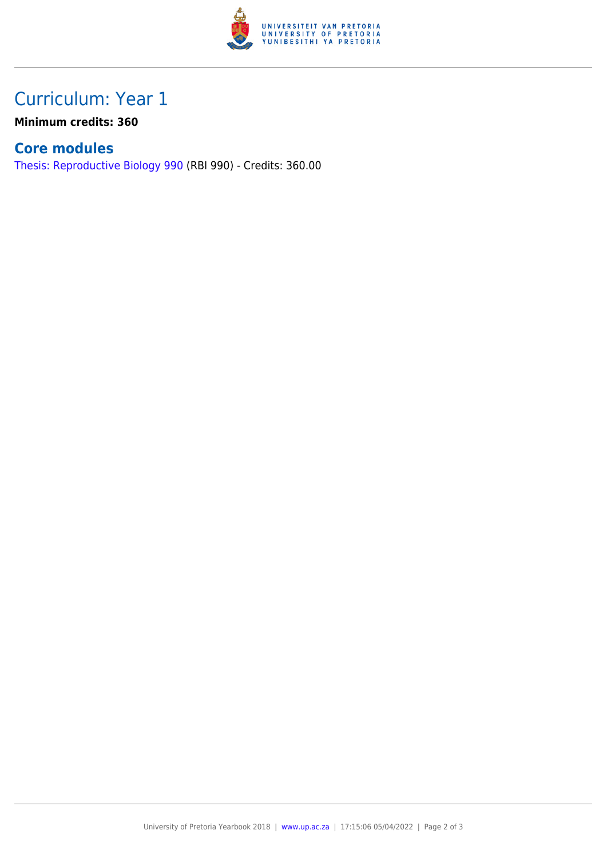

## Curriculum: Year 1

**Minimum credits: 360**

#### **Core modules**

[Thesis: Reproductive Biology 990](https://www.up.ac.za/yearbooks/2018/modules/view/RBI 990) (RBI 990) - Credits: 360.00